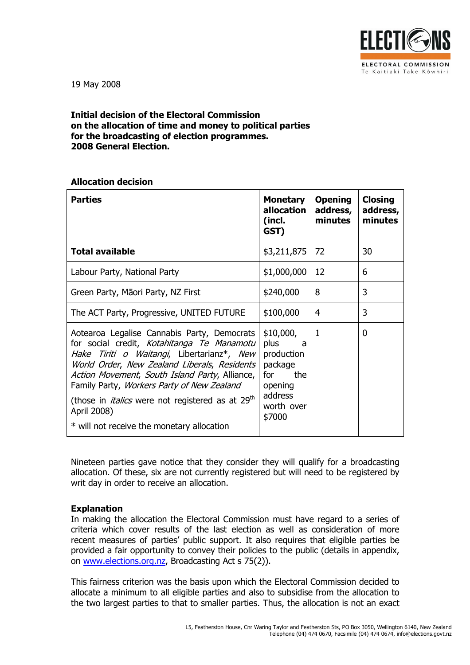

19 May 2008

## Initial decision of the Electoral Commission on the allocation of time and money to political parties for the broadcasting of election programmes. 2008 General Election.

### Allocation decision

| <b>Parties</b>                                                                                                                                                                                                                                                                                                                                                                | <b>Monetary</b><br>allocation<br>(incl.<br>GST)                                                               | <b>Opening</b><br>address,<br>minutes | <b>Closing</b><br>address,<br>minutes |
|-------------------------------------------------------------------------------------------------------------------------------------------------------------------------------------------------------------------------------------------------------------------------------------------------------------------------------------------------------------------------------|---------------------------------------------------------------------------------------------------------------|---------------------------------------|---------------------------------------|
| <b>Total available</b>                                                                                                                                                                                                                                                                                                                                                        | \$3,211,875                                                                                                   | 72                                    | 30                                    |
| Labour Party, National Party                                                                                                                                                                                                                                                                                                                                                  | \$1,000,000                                                                                                   | 12                                    | 6                                     |
| Green Party, Māori Party, NZ First                                                                                                                                                                                                                                                                                                                                            | \$240,000                                                                                                     | 8                                     | 3                                     |
| The ACT Party, Progressive, UNITED FUTURE                                                                                                                                                                                                                                                                                                                                     | \$100,000                                                                                                     | 4                                     | 3                                     |
| Aotearoa Legalise Cannabis Party, Democrats<br>for social credit, Kotahitanga Te Manamotu<br>Hake Tiriti o Waitangi, Libertarianz*, New<br>World Order, New Zealand Liberals, Residents<br>Action Movement, South Island Party, Alliance,<br>Family Party, Workers Party of New Zealand<br>(those in <i>italics</i> were not registered as at 29 <sup>th</sup><br>April 2008) | \$10,000,<br>plus<br>- a<br>production<br>package<br>the<br>for<br>opening<br>address<br>worth over<br>\$7000 | $\mathbf{1}$                          | 0                                     |
| * will not receive the monetary allocation                                                                                                                                                                                                                                                                                                                                    |                                                                                                               |                                       |                                       |

Nineteen parties gave notice that they consider they will qualify for a broadcasting allocation. Of these, six are not currently registered but will need to be registered by writ day in order to receive an allocation.

## Explanation

In making the allocation the Electoral Commission must have regard to a series of criteria which cover results of the last election as well as consideration of more recent measures of parties' public support. It also requires that eligible parties be provided a fair opportunity to convey their policies to the public (details in appendix, on www.elections.org.nz, Broadcasting Act s 75(2)).

This fairness criterion was the basis upon which the Electoral Commission decided to allocate a minimum to all eligible parties and also to subsidise from the allocation to the two largest parties to that to smaller parties. Thus, the allocation is not an exact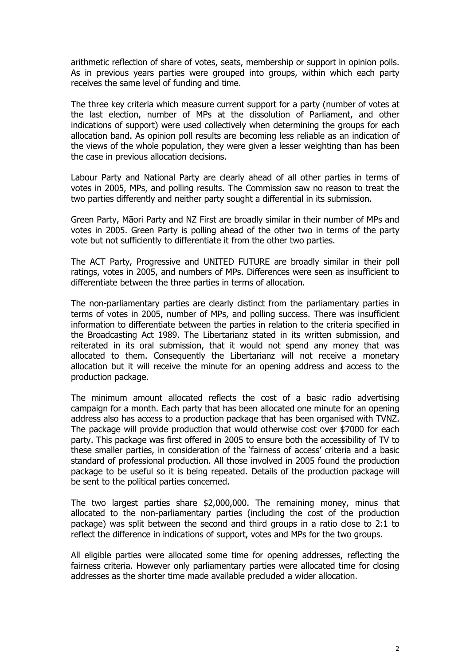arithmetic reflection of share of votes, seats, membership or support in opinion polls. As in previous years parties were grouped into groups, within which each party receives the same level of funding and time.

The three key criteria which measure current support for a party (number of votes at the last election, number of MPs at the dissolution of Parliament, and other indications of support) were used collectively when determining the groups for each allocation band. As opinion poll results are becoming less reliable as an indication of the views of the whole population, they were given a lesser weighting than has been the case in previous allocation decisions.

Labour Party and National Party are clearly ahead of all other parties in terms of votes in 2005, MPs, and polling results. The Commission saw no reason to treat the two parties differently and neither party sought a differential in its submission.

Green Party, Māori Party and NZ First are broadly similar in their number of MPs and votes in 2005. Green Party is polling ahead of the other two in terms of the party vote but not sufficiently to differentiate it from the other two parties.

The ACT Party, Progressive and UNITED FUTURE are broadly similar in their poll ratings, votes in 2005, and numbers of MPs. Differences were seen as insufficient to differentiate between the three parties in terms of allocation.

The non-parliamentary parties are clearly distinct from the parliamentary parties in terms of votes in 2005, number of MPs, and polling success. There was insufficient information to differentiate between the parties in relation to the criteria specified in the Broadcasting Act 1989. The Libertarianz stated in its written submission, and reiterated in its oral submission, that it would not spend any money that was allocated to them. Consequently the Libertarianz will not receive a monetary allocation but it will receive the minute for an opening address and access to the production package.

The minimum amount allocated reflects the cost of a basic radio advertising campaign for a month. Each party that has been allocated one minute for an opening address also has access to a production package that has been organised with TVNZ. The package will provide production that would otherwise cost over \$7000 for each party. This package was first offered in 2005 to ensure both the accessibility of TV to these smaller parties, in consideration of the 'fairness of access' criteria and a basic standard of professional production. All those involved in 2005 found the production package to be useful so it is being repeated. Details of the production package will be sent to the political parties concerned.

The two largest parties share \$2,000,000. The remaining money, minus that allocated to the non-parliamentary parties (including the cost of the production package) was split between the second and third groups in a ratio close to 2:1 to reflect the difference in indications of support, votes and MPs for the two groups.

All eligible parties were allocated some time for opening addresses, reflecting the fairness criteria. However only parliamentary parties were allocated time for closing addresses as the shorter time made available precluded a wider allocation.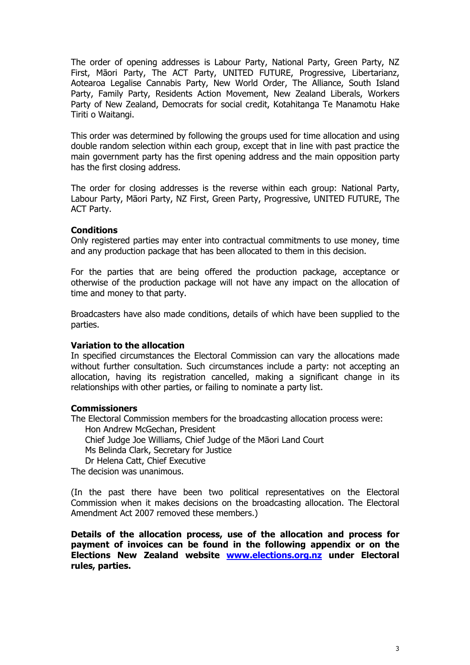The order of opening addresses is Labour Party, National Party, Green Party, NZ First, Māori Party, The ACT Party, UNITED FUTURE, Progressive, Libertarianz, Aotearoa Legalise Cannabis Party, New World Order, The Alliance, South Island Party, Family Party, Residents Action Movement, New Zealand Liberals, Workers Party of New Zealand, Democrats for social credit, Kotahitanga Te Manamotu Hake Tiriti o Waitangi.

This order was determined by following the groups used for time allocation and using double random selection within each group, except that in line with past practice the main government party has the first opening address and the main opposition party has the first closing address.

The order for closing addresses is the reverse within each group: National Party, Labour Party, Māori Party, NZ First, Green Party, Progressive, UNITED FUTURE, The ACT Party.

## **Conditions**

Only registered parties may enter into contractual commitments to use money, time and any production package that has been allocated to them in this decision.

For the parties that are being offered the production package, acceptance or otherwise of the production package will not have any impact on the allocation of time and money to that party.

Broadcasters have also made conditions, details of which have been supplied to the parties.

### Variation to the allocation

In specified circumstances the Electoral Commission can vary the allocations made without further consultation. Such circumstances include a party: not accepting an allocation, having its registration cancelled, making a significant change in its relationships with other parties, or failing to nominate a party list.

### **Commissioners**

The Electoral Commission members for the broadcasting allocation process were: Hon Andrew McGechan, President Chief Judge Joe Williams, Chief Judge of the Māori Land Court Ms Belinda Clark, Secretary for Justice Dr Helena Catt, Chief Executive

The decision was unanimous.

(In the past there have been two political representatives on the Electoral Commission when it makes decisions on the broadcasting allocation. The Electoral Amendment Act 2007 removed these members.)

Details of the allocation process, use of the allocation and process for payment of invoices can be found in the following appendix or on the Elections New Zealand website www.elections.org.nz under Electoral rules, parties.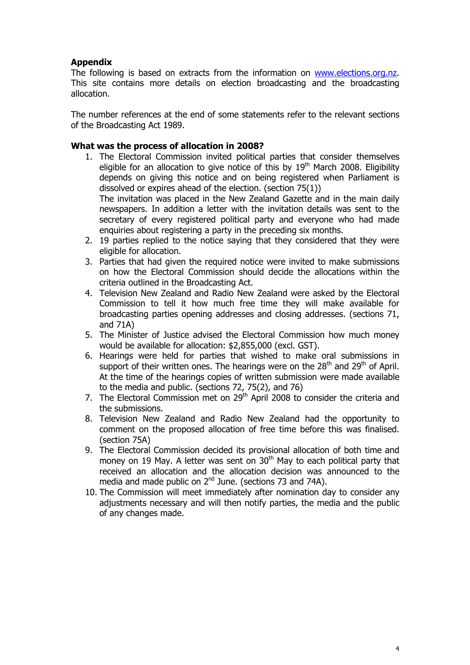# Appendix

The following is based on extracts from the information on www.elections.org.nz. This site contains more details on election broadcasting and the broadcasting allocation.

The number references at the end of some statements refer to the relevant sections of the Broadcasting Act 1989.

# What was the process of allocation in 2008?

1. The Electoral Commission invited political parties that consider themselves eligible for an allocation to give notice of this by  $19<sup>th</sup>$  March 2008. Eligibility depends on giving this notice and on being registered when Parliament is dissolved or expires ahead of the election. (section 75(1))

The invitation was placed in the New Zealand Gazette and in the main daily newspapers. In addition a letter with the invitation details was sent to the secretary of every registered political party and everyone who had made enquiries about registering a party in the preceding six months.

- 2. 19 parties replied to the notice saying that they considered that they were eligible for allocation.
- 3. Parties that had given the required notice were invited to make submissions on how the Electoral Commission should decide the allocations within the criteria outlined in the Broadcasting Act.
- 4. Television New Zealand and Radio New Zealand were asked by the Electoral Commission to tell it how much free time they will make available for broadcasting parties opening addresses and closing addresses. (sections 71, and 71A)
- 5. The Minister of Justice advised the Electoral Commission how much money would be available for allocation: \$2,855,000 (excl. GST).
- 6. Hearings were held for parties that wished to make oral submissions in support of their written ones. The hearings were on the  $28<sup>th</sup>$  and  $29<sup>th</sup>$  of April. At the time of the hearings copies of written submission were made available to the media and public. (sections 72, 75(2), and 76)
- 7. The Electoral Commission met on  $29<sup>th</sup>$  April 2008 to consider the criteria and the submissions.
- 8. Television New Zealand and Radio New Zealand had the opportunity to comment on the proposed allocation of free time before this was finalised. (section 75A)
- 9. The Electoral Commission decided its provisional allocation of both time and money on 19 May. A letter was sent on  $30<sup>th</sup>$  May to each political party that received an allocation and the allocation decision was announced to the media and made public on  $2^{nd}$  June. (sections 73 and 74A).
- 10. The Commission will meet immediately after nomination day to consider any adjustments necessary and will then notify parties, the media and the public of any changes made.